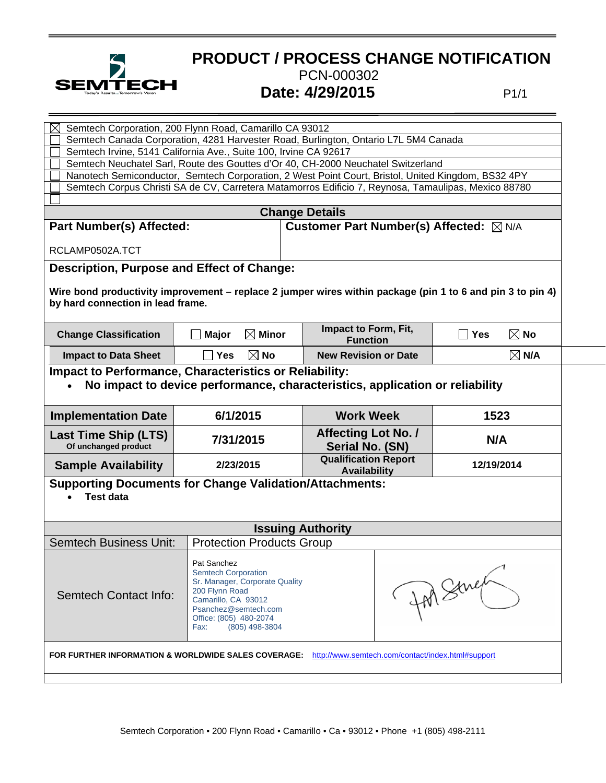

## **PRODUCT / PROCESS CHANGE NOTIFICATION** PCN-000302 **SEMTECH** Date: 4/29/2015

| Semtech Corporation, 200 Flynn Road, Camarillo CA 93012<br>Semtech Canada Corporation, 4281 Harvester Road, Burlington, Ontario L7L 5M4 Canada<br>Semtech Irvine, 5141 California Ave., Suite 100, Irvine CA 92617<br>Semtech Neuchatel Sarl, Route des Gouttes d'Or 40, CH-2000 Neuchatel Switzerland<br>Nanotech Semiconductor, Semtech Corporation, 2 West Point Court, Bristol, United Kingdom, BS32 4PY<br>Semtech Corpus Christi SA de CV, Carretera Matamorros Edificio 7, Reynosa, Tamaulipas, Mexico 88780<br><b>Change Details</b> |                                  |                                                    |                           |  |
|----------------------------------------------------------------------------------------------------------------------------------------------------------------------------------------------------------------------------------------------------------------------------------------------------------------------------------------------------------------------------------------------------------------------------------------------------------------------------------------------------------------------------------------------|----------------------------------|----------------------------------------------------|---------------------------|--|
| <b>Part Number(s) Affected:</b>                                                                                                                                                                                                                                                                                                                                                                                                                                                                                                              |                                  | Customer Part Number(s) Affected: ⊠ N/A            |                           |  |
| RCLAMP0502A.TCT                                                                                                                                                                                                                                                                                                                                                                                                                                                                                                                              |                                  |                                                    |                           |  |
| Description, Purpose and Effect of Change:<br>Wire bond productivity improvement – replace 2 jumper wires within package (pin 1 to 6 and pin 3 to pin 4)<br>by hard connection in lead frame.                                                                                                                                                                                                                                                                                                                                                |                                  |                                                    |                           |  |
| <b>Change Classification</b>                                                                                                                                                                                                                                                                                                                                                                                                                                                                                                                 | $\boxtimes$ Minor<br>Major       | Impact to Form, Fit,<br><b>Function</b>            | $\boxtimes$ No<br>∣ l Yes |  |
| <b>Impact to Data Sheet</b>                                                                                                                                                                                                                                                                                                                                                                                                                                                                                                                  | $\boxtimes$ No<br><b>Yes</b>     | <b>New Revision or Date</b>                        | $\boxtimes$ N/A           |  |
| <b>Impact to Performance, Characteristics or Reliability:</b><br>No impact to device performance, characteristics, application or reliability                                                                                                                                                                                                                                                                                                                                                                                                |                                  |                                                    |                           |  |
| <b>Implementation Date</b>                                                                                                                                                                                                                                                                                                                                                                                                                                                                                                                   | 6/1/2015                         | <b>Work Week</b>                                   | 1523                      |  |
| <b>Last Time Ship (LTS)</b><br>Of unchanged product                                                                                                                                                                                                                                                                                                                                                                                                                                                                                          | 7/31/2015                        | <b>Affecting Lot No. /</b><br>Serial No. (SN)      | N/A                       |  |
| <b>Sample Availability</b>                                                                                                                                                                                                                                                                                                                                                                                                                                                                                                                   | 2/23/2015                        | <b>Qualification Report</b><br><b>Availability</b> | 12/19/2014                |  |
| <b>Supporting Documents for Change Validation/Attachments:</b><br><b>Test data</b>                                                                                                                                                                                                                                                                                                                                                                                                                                                           |                                  |                                                    |                           |  |
| <b>Issuing Authority</b>                                                                                                                                                                                                                                                                                                                                                                                                                                                                                                                     |                                  |                                                    |                           |  |
| <b>Semtech Business Unit:</b>                                                                                                                                                                                                                                                                                                                                                                                                                                                                                                                | <b>Protection Products Group</b> |                                                    |                           |  |
| Pat Sanchez<br><b>Semtech Corporation</b><br>In Strict<br>Sr. Manager, Corporate Quality<br>200 Flynn Road<br><b>Semtech Contact Info:</b><br>Camarillo, CA 93012<br>Psanchez@semtech.com<br>Office: (805) 480-2074<br>(805) 498-3804<br>Fax:                                                                                                                                                                                                                                                                                                |                                  |                                                    |                           |  |
| FOR FURTHER INFORMATION & WORLDWIDE SALES COVERAGE:<br>http://www.semtech.com/contact/index.html#support                                                                                                                                                                                                                                                                                                                                                                                                                                     |                                  |                                                    |                           |  |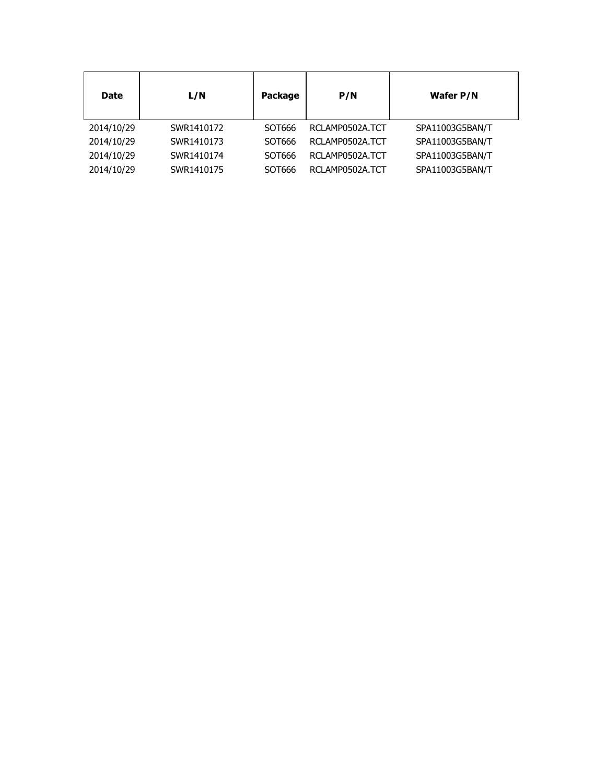| <b>Date</b> | L/N        | Package | P/N             | Wafer P/N       |
|-------------|------------|---------|-----------------|-----------------|
| 2014/10/29  | SWR1410172 | SOT666  | RCLAMP0502A.TCT | SPA11003G5BAN/T |
| 2014/10/29  | SWR1410173 | SOT666  | RCLAMP0502A.TCT | SPA11003G5BAN/T |
| 2014/10/29  | SWR1410174 | SOT666  | RCLAMP0502A.TCT | SPA11003G5BAN/T |
| 2014/10/29  | SWR1410175 | SOT666  | RCLAMP0502A.TCT | SPA11003G5BAN/T |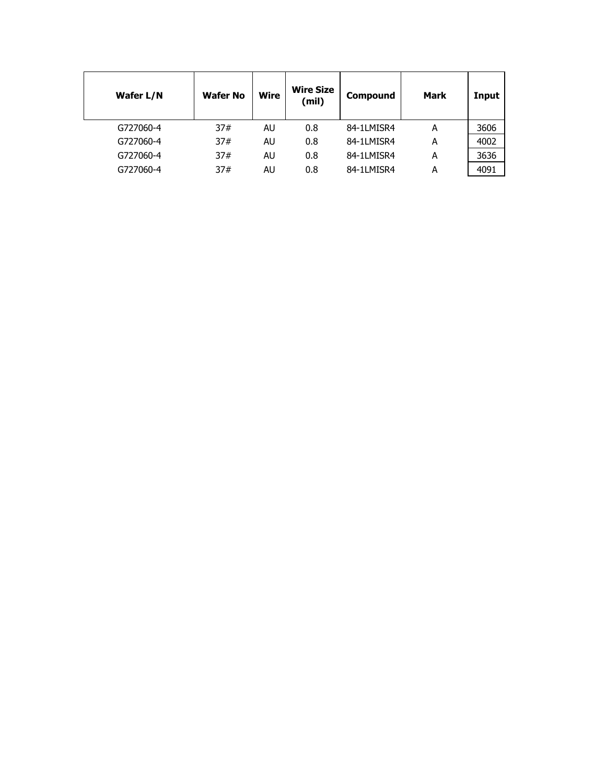| Wafer L/N | <b>Wafer No</b> | <b>Wire</b> | <b>Wire Size</b><br>(mil) | Compound   | <b>Mark</b> | Input |
|-----------|-----------------|-------------|---------------------------|------------|-------------|-------|
| G727060-4 | 37#             | AU          | 0.8                       | 84-1LMISR4 | А           | 3606  |
| G727060-4 | 37#             | AU          | 0.8                       | 84-1LMISR4 | Α           | 4002  |
| G727060-4 | 37#             | AU          | 0.8                       | 84-1LMISR4 | А           | 3636  |
| G727060-4 | 37#             | AU          | 0.8                       | 84-1LMISR4 | А           | 4091  |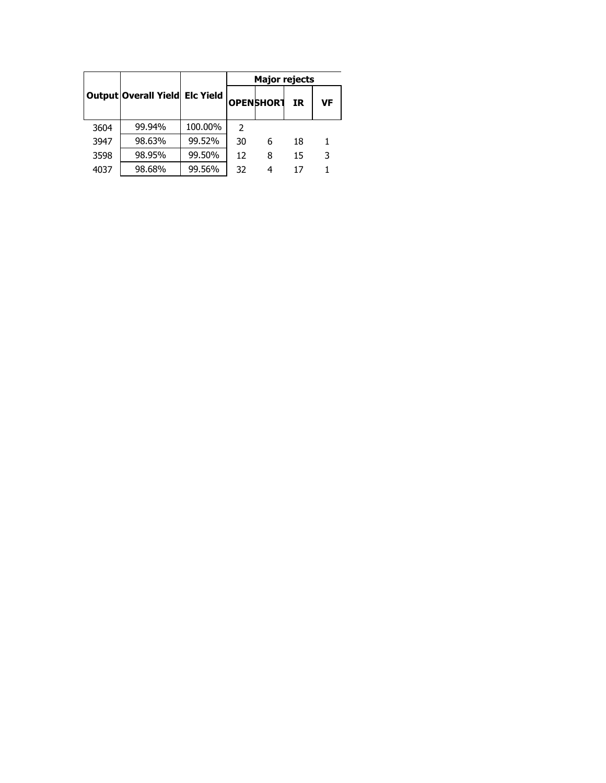|      |                                |         | <b>Major rejects</b> |                   |     |    |  |
|------|--------------------------------|---------|----------------------|-------------------|-----|----|--|
|      | Output Overall Yield Elc Yield |         |                      | <b>OPEN SHORT</b> | IR. | VF |  |
| 3604 | 99.94%                         | 100.00% | 2                    |                   |     |    |  |
| 3947 | 98.63%                         | 99.52%  | 30                   | 6                 | 18  |    |  |
| 3598 | 98.95%                         | 99.50%  | 12                   | 8                 | 15  | 3  |  |
| 4037 | 98.68%                         | 99.56%  | 32                   | 4                 | 17  |    |  |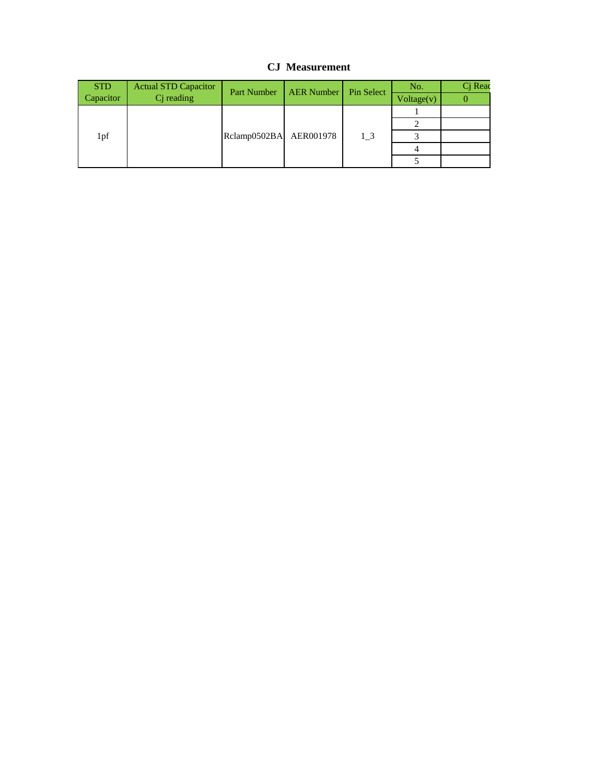## **CJ Measurement**

| <b>STD</b> | <b>Actual STD Capacitor</b> | Part Number | <b>AER Number</b> | Pin Select | No.        | Cj Read |
|------------|-----------------------------|-------------|-------------------|------------|------------|---------|
| Capacitor  | $Cj$ reading                |             |                   |            | Voltage(v) |         |
|            |                             |             |                   | 1 3        |            |         |
| 1pf        | Rclamp0502BA AER001978      |             |                   |            |            |         |
|            |                             |             |                   |            |            |         |
|            |                             |             |                   |            |            |         |
|            |                             |             |                   |            |            |         |